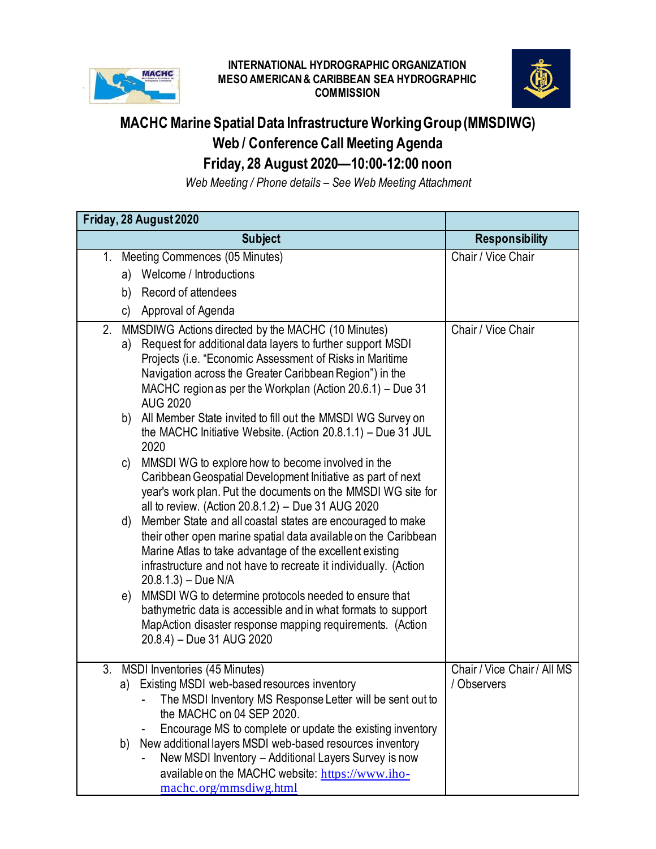

## **INTERNATIONAL HYDROGRAPHIC ORGANIZATION MESO AMERICAN & CARIBBEAN SEA HYDROGRAPHIC COMMISSION**



## **MACHC Marine Spatial Data Infrastructure Working Group (MMSDIWG) Web / Conference Call Meeting Agenda Friday, 28 August 2020—10:00-12:00 noon**

*Web Meeting / Phone details – See Web Meeting Attachment*

|         | Friday, 28 August 2020                                                                                                                                                                                                                                                                                                        |                             |
|---------|-------------------------------------------------------------------------------------------------------------------------------------------------------------------------------------------------------------------------------------------------------------------------------------------------------------------------------|-----------------------------|
|         | <b>Subject</b>                                                                                                                                                                                                                                                                                                                | <b>Responsibility</b>       |
| $1_{-}$ | Meeting Commences (05 Minutes)                                                                                                                                                                                                                                                                                                | Chair / Vice Chair          |
|         | Welcome / Introductions<br>a)                                                                                                                                                                                                                                                                                                 |                             |
|         | Record of attendees<br>b)                                                                                                                                                                                                                                                                                                     |                             |
|         | Approval of Agenda<br>C)                                                                                                                                                                                                                                                                                                      |                             |
| 2.      | MMSDIWG Actions directed by the MACHC (10 Minutes)<br>Request for additional data layers to further support MSDI<br>a)<br>Projects (i.e. "Economic Assessment of Risks in Maritime<br>Navigation across the Greater Caribbean Region") in the<br>MACHC region as per the Workplan (Action 20.6.1) – Due 31<br><b>AUG 2020</b> | Chair / Vice Chair          |
|         | b) All Member State invited to fill out the MMSDI WG Survey on<br>the MACHC Initiative Website. (Action $20.8.1.1$ ) – Due 31 JUL<br>2020                                                                                                                                                                                     |                             |
|         | MMSDI WG to explore how to become involved in the<br>C)<br>Caribbean Geospatial Development Initiative as part of next<br>year's work plan. Put the documents on the MMSDI WG site for<br>all to review. (Action 20.8.1.2) - Due 31 AUG 2020                                                                                  |                             |
|         | Member State and all coastal states are encouraged to make<br>d)<br>their other open marine spatial data available on the Caribbean<br>Marine Atlas to take advantage of the excellent existing<br>infrastructure and not have to recreate it individually. (Action<br>$20.8.1.3$ ) – Due N/A                                 |                             |
|         | MMSDI WG to determine protocols needed to ensure that<br>e)<br>bathymetric data is accessible and in what formats to support<br>MapAction disaster response mapping requirements. (Action<br>20.8.4) - Due 31 AUG 2020                                                                                                        |                             |
| 3.      | <b>MSDI</b> Inventories (45 Minutes)                                                                                                                                                                                                                                                                                          | Chair / Vice Chair / All MS |
|         | a) Existing MSDI web-based resources inventory<br>The MSDI Inventory MS Response Letter will be sent out to<br>the MACHC on 04 SEP 2020.<br>Encourage MS to complete or update the existing inventory                                                                                                                         | / Observers                 |
|         | New additional layers MSDI web-based resources inventory<br>b)<br>New MSDI Inventory - Additional Layers Survey is now<br>available on the MACHC website: https://www.iho-<br>machc.org/mmsdiwg.html                                                                                                                          |                             |